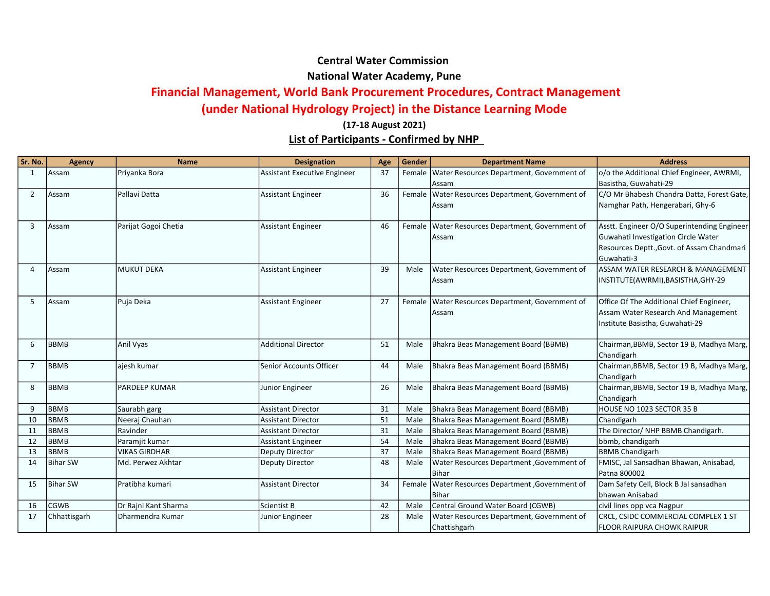## Central Water Commission National Water Academy, Pune

## Financial Management, World Bank Procurement Procedures, Contract Management

## (under National Hydrology Project) in the Distance Learning Mode

## List of Participants - Confirmed by NHP (17-18 August 2021)

| Sr. No.        | <b>Agency</b>   | <b>Name</b>          | <b>Designation</b>           | Age | Gender | <b>Department Name</b>                             | <b>Address</b>                              |
|----------------|-----------------|----------------------|------------------------------|-----|--------|----------------------------------------------------|---------------------------------------------|
| $\mathbf{1}$   | Assam           | Priyanka Bora        | Assistant Executive Engineer | 37  | Female | Water Resources Department, Government of          | o/o the Additional Chief Engineer, AWRMI,   |
|                |                 |                      |                              |     |        | Assam                                              | Basistha, Guwahati-29                       |
| $\overline{2}$ | Assam           | Pallavi Datta        | <b>Assistant Engineer</b>    | 36  |        | Female   Water Resources Department, Government of | C/O Mr Bhabesh Chandra Datta, Forest Gate,  |
|                |                 |                      |                              |     |        | Assam                                              | Namghar Path, Hengerabari, Ghy-6            |
|                |                 |                      |                              |     |        |                                                    |                                             |
| 3              | Assam           | Parijat Gogoi Chetia | <b>Assistant Engineer</b>    | 46  |        | Female   Water Resources Department, Government of | Asstt. Engineer O/O Superintending Engineer |
|                |                 |                      |                              |     |        | Assam                                              | Guwahati Investigation Circle Water         |
|                |                 |                      |                              |     |        |                                                    | Resources Deptt., Govt. of Assam Chandmari  |
|                |                 |                      |                              |     |        |                                                    | Guwahati-3                                  |
| Δ              | Assam           | MUKUT DEKA           | <b>Assistant Engineer</b>    | 39  | Male   | Water Resources Department, Government of          | ASSAM WATER RESEARCH & MANAGEMENT           |
|                |                 |                      |                              |     |        | Assam                                              | INSTITUTE(AWRMI), BASISTHA, GHY-29          |
| 5              | Assam           | Puja Deka            | <b>Assistant Engineer</b>    | 27  | Female | Water Resources Department, Government of          | Office Of The Additional Chief Engineer,    |
|                |                 |                      |                              |     |        | Assam                                              | Assam Water Research And Management         |
|                |                 |                      |                              |     |        |                                                    | Institute Basistha, Guwahati-29             |
|                |                 |                      |                              |     |        |                                                    |                                             |
| 6              | <b>BBMB</b>     | Anil Vyas            | <b>Additional Director</b>   | 51  | Male   | Bhakra Beas Management Board (BBMB)                | Chairman, BBMB, Sector 19 B, Madhya Marg,   |
|                |                 |                      |                              |     |        |                                                    | Chandigarh                                  |
| $\overline{7}$ | <b>BBMB</b>     | ajesh kumar          | Senior Accounts Officer      | 44  | Male   | Bhakra Beas Management Board (BBMB)                | Chairman, BBMB, Sector 19 B, Madhya Marg,   |
|                |                 |                      |                              |     |        |                                                    | Chandigarh                                  |
| 8              | <b>BBMB</b>     | <b>PARDEEP KUMAR</b> | Junior Engineer              | 26  | Male   | Bhakra Beas Management Board (BBMB)                | Chairman, BBMB, Sector 19 B, Madhya Marg,   |
|                |                 |                      |                              |     |        |                                                    | Chandigarh                                  |
| 9              | <b>BBMB</b>     | Saurabh garg         | <b>Assistant Director</b>    | 31  | Male   | Bhakra Beas Management Board (BBMB)                | HOUSE NO 1023 SECTOR 35 B                   |
| 10             | <b>BBMB</b>     | Neeraj Chauhan       | <b>Assistant Director</b>    | 51  | Male   | Bhakra Beas Management Board (BBMB)                | Chandigarh                                  |
| 11             | <b>BBMB</b>     | Ravinder             | <b>Assistant Director</b>    | 31  | Male   | Bhakra Beas Management Board (BBMB)                | The Director/ NHP BBMB Chandigarh.          |
| 12             | BBMB            | Paramjit kumar       | <b>Assistant Engineer</b>    | 54  | Male   | Bhakra Beas Management Board (BBMB)                | bbmb, chandigarh                            |
| 13             | BBMB            | <b>VIKAS GIRDHAR</b> | Deputy Director              | 37  | Male   | Bhakra Beas Management Board (BBMB)                | <b>BBMB Chandigarh</b>                      |
| 14             | <b>Bihar SW</b> | Md. Perwez Akhtar    | <b>Deputy Director</b>       | 48  | Male   | Water Resources Department, Government of          | FMISC, Jal Sansadhan Bhawan, Anisabad,      |
|                |                 |                      |                              |     |        | <b>Bihar</b>                                       | Patna 800002                                |
| 15             | <b>Bihar SW</b> | Pratibha kumari      | <b>Assistant Director</b>    | 34  | Female | <b>Water Resources Department, Government of</b>   | Dam Safety Cell, Block B Jal sansadhan      |
|                |                 |                      |                              |     |        | <b>Bihar</b>                                       | bhawan Anisabad                             |
| 16             | <b>CGWB</b>     | Dr Rajni Kant Sharma | <b>Scientist B</b>           | 42  | Male   | Central Ground Water Board (CGWB)                  | civil lines opp vca Nagpur                  |
| 17             | Chhattisgarh    | Dharmendra Kumar     | Junior Engineer              | 28  | Male   | Water Resources Department, Government of          | CRCL, CSIDC COMMERCIAL COMPLEX 1 ST         |
|                |                 |                      |                              |     |        | Chattishgarh                                       | <b>FLOOR RAIPURA CHOWK RAIPUR</b>           |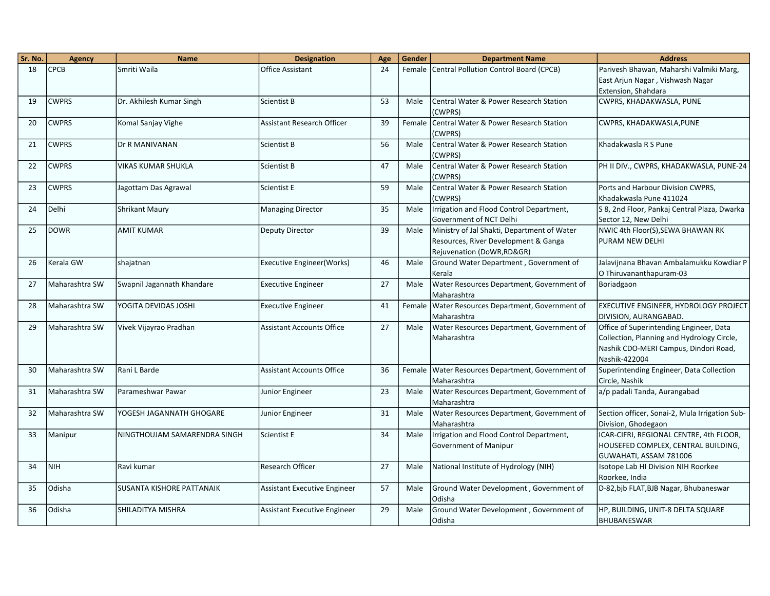| Sr. No. | <b>Agency</b>   | <b>Name</b>                      | <b>Designation</b>               | Age | Gender | <b>Department Name</b>                                                                                            | <b>Address</b>                                                                                                                                  |
|---------|-----------------|----------------------------------|----------------------------------|-----|--------|-------------------------------------------------------------------------------------------------------------------|-------------------------------------------------------------------------------------------------------------------------------------------------|
| 18      | <b>CPCB</b>     | Smriti Waila                     | Office Assistant                 | 24  |        | Female Central Pollution Control Board (CPCB)                                                                     | Parivesh Bhawan, Maharshi Valmiki Marg,                                                                                                         |
|         |                 |                                  |                                  |     |        |                                                                                                                   | East Arjun Nagar, Vishwash Nagar                                                                                                                |
|         |                 |                                  |                                  |     |        |                                                                                                                   | Extension, Shahdara                                                                                                                             |
| 19      | <b>CWPRS</b>    | Dr. Akhilesh Kumar Singh         | <b>Scientist B</b>               | 53  | Male   | Central Water & Power Research Station<br>(CWPRS)                                                                 | CWPRS, KHADAKWASLA, PUNE                                                                                                                        |
| 20      | <b>CWPRS</b>    | Komal Sanjay Vighe               | Assistant Research Officer       | 39  | Female | Central Water & Power Research Station<br>(CWPRS)                                                                 | CWPRS, KHADAKWASLA, PUNE                                                                                                                        |
| 21      | <b>CWPRS</b>    | Dr R MANIVANAN                   | Scientist B                      | 56  | Male   | <b>Central Water &amp; Power Research Station</b><br>(CWPRS)                                                      | Khadakwasla R S Pune                                                                                                                            |
| 22      | <b>CWPRS</b>    | VIKAS KUMAR SHUKLA               | Scientist B                      | 47  | Male   | <b>Central Water &amp; Power Research Station</b><br>(CWPRS)                                                      | PH II DIV., CWPRS, KHADAKWASLA, PUNE-24                                                                                                         |
| 23      | <b>CWPRS</b>    | Jagottam Das Agrawal             | Scientist E                      | 59  | Male   | Central Water & Power Research Station<br>(CWPRS)                                                                 | Ports and Harbour Division CWPRS,<br>Khadakwasla Pune 411024                                                                                    |
| 24      | Delhi           | <b>Shrikant Maury</b>            | <b>Managing Director</b>         | 35  | Male   | Irrigation and Flood Control Department,<br>Government of NCT Delhi                                               | S 8, 2nd Floor, Pankaj Central Plaza, Dwarka<br>Sector 12, New Delhi                                                                            |
| 25      | <b>DOWR</b>     | AMIT KUMAR                       | Deputy Director                  | 39  | Male   | Ministry of Jal Shakti, Department of Water<br>Resources, River Development & Ganga<br>Rejuvenation (DoWR, RD&GR) | NWIC 4th Floor(S), SEWA BHAWAN RK<br><b>PURAM NEW DELHI</b>                                                                                     |
| 26      | Kerala GW       | shajatnan                        | Executive Engineer(Works)        | 46  | Male   | Ground Water Department, Government of<br>Kerala                                                                  | Jalavijnana Bhavan Ambalamukku Kowdiar P<br>O Thiruvananthapuram-03                                                                             |
| 27      | Maharashtra SW  | Swapnil Jagannath Khandare       | <b>Executive Engineer</b>        | 27  | Male   | Water Resources Department, Government of<br>Maharashtra                                                          | Boriadgaon                                                                                                                                      |
| 28      | Maharashtra SW  | YOGITA DEVIDAS JOSHI             | <b>Executive Engineer</b>        | 41  | Female | Water Resources Department, Government of<br>Maharashtra                                                          | EXECUTIVE ENGINEER, HYDROLOGY PROJECT<br>DIVISION, AURANGABAD.                                                                                  |
| 29      | lMaharashtra SW | Vivek Vijayrao Pradhan           | <b>Assistant Accounts Office</b> | 27  | Male   | Water Resources Department, Government of<br>Maharashtra                                                          | Office of Superintending Engineer, Data<br>Collection, Planning and Hydrology Circle,<br>Nashik CDO-MERI Campus, Dindori Road,<br>Nashik-422004 |
| 30      | lMaharashtra SW | Rani L Barde                     | <b>Assistant Accounts Office</b> | 36  | Female | Water Resources Department, Government of<br>Maharashtra                                                          | Superintending Engineer, Data Collection<br>Circle, Nashik                                                                                      |
| 31      | Maharashtra SW  | Parameshwar Pawar                | Junior Engineer                  | 23  | Male   | Water Resources Department, Government of<br>Maharashtra                                                          | a/p padali Tanda, Aurangabad                                                                                                                    |
| 32      | Maharashtra SW  | YOGESH JAGANNATH GHOGARE         | Junior Engineer                  | 31  | Male   | Water Resources Department, Government of<br>Maharashtra                                                          | Section officer, Sonai-2, Mula Irrigation Sub-<br>Division, Ghodegaon                                                                           |
| 33      | Manipur         | NINGTHOUJAM SAMARENDRA SINGH     | Scientist E                      | 34  | Male   | Irrigation and Flood Control Department,<br>Government of Manipur                                                 | ICAR-CIFRI, REGIONAL CENTRE, 4th FLOOR,<br>HOUSEFED COMPLEX, CENTRAL BUILDING,<br>GUWAHATI, ASSAM 781006                                        |
| 34      | NIH             | Ravi kumar                       | <b>Research Officer</b>          | 27  | Male   | National Institute of Hydrology (NIH)                                                                             | Isotope Lab HI Division NIH Roorkee<br>Roorkee, India                                                                                           |
| 35      | Odisha          | <b>SUSANTA KISHORE PATTANAIK</b> | Assistant Executive Engineer     | 57  | Male   | Ground Water Development, Government of<br>Odisha                                                                 | D-82, bjb FLAT, BJB Nagar, Bhubaneswar                                                                                                          |
| 36      | Odisha          | SHILADITYA MISHRA                | Assistant Executive Engineer     | 29  | Male   | Ground Water Development, Government of<br>Odisha                                                                 | HP, BUILDING, UNIT-8 DELTA SQUARE<br><b>BHUBANESWAR</b>                                                                                         |